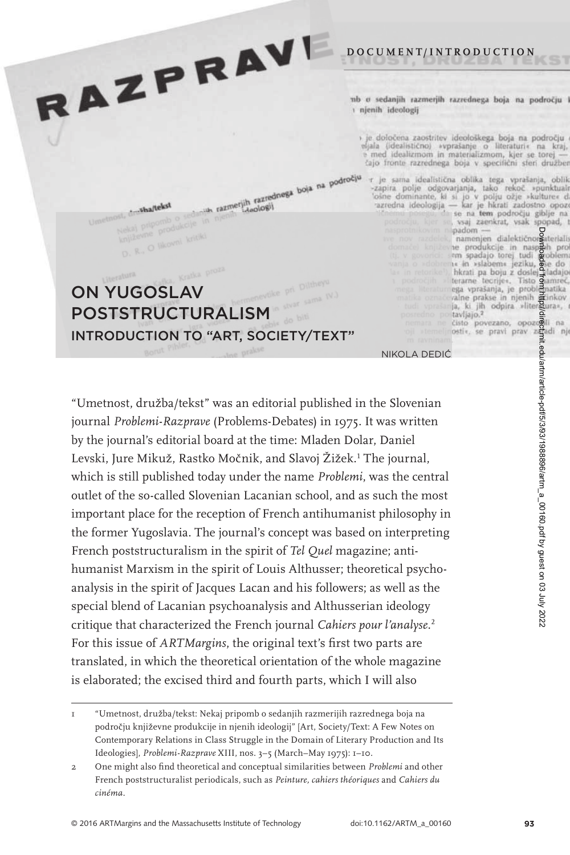nb o sedanjih razmerjih razrednega boja na področju i njenih ideologij

**D O C U M E N T/ I N T R O D U C T I O N**

 $\rightarrow$ je določena zaostritev ideološkega boja na področju sijala (idealistično) »vprašanje o literaturi« na kraj, e med idealizmom in materializmom, kjer se torej čajo fronte razrednega boja v specifični sferi družber hith razmerjih razrednega boja na področju

r je sama idealistična oblika tega vprašanja, oblik -zapira polje odgovarjanja, tako rekoč »punktuali<br>Tošne dominante, ki si jo v polju ožje »kulture d<br>azredna ideologija — kar je hkrati zadostno opoze<br>
se na tem področju giblje na

padom -

postavljajo,<sup>2</sup>

vsaj zaenkrat, vsak spopad, t padom —<br>namenjen dialektičnorgaterialis

ia produkcije in naspeših pro<br>em spadajo torej tudi poblem<br>is in sslabems jeziku, de do<br>hkrati pa boju z dosle

hkrati pa boju z doslej zladajo<br>terane teorije«, Tisto osamereč,<br>ga vprašanja, je problematika<br>zalne prakse in njenih grinkov<br>ja, ki jih odpira »litergura»,

## ON YUGOSLAV POSTSTRUCTURALISM INTRODUCTION TO "ART, SOCIETY/TEXT"

RAZPRAVI

st, drawing o sedanya<br>Nekaj pripomb o sedanya nje<br>književne produkcije in nje

D. R., O likovni kritiki

st. drawha/tekst

cisto povezano, opozooli na<br>nosti«, se pravi prav zimadi nje niKOLa DEDiC´

"Umetnost, družba/tekst" was an editorial published in the Slovenian journal *Problemi-Razprave* (Problems-Debates) in 1975. It was written by the journal's editorial board at the time: Mladen Dolar, Daniel Levski, Jure Mikuž, Rastko Močnik, and Slavoj Žižek.<sup>1</sup> The journal, which is still published today under the name *Problemi*, was the central outlet of the so-called Slovenian Lacanian school, and as such the most important place for the reception of French antihumanist philosophy in the former Yugoslavia. The journal's concept was based on interpreting French poststructuralism in the spirit of *Tel Quel* magazine; antihumanist Marxism in the spirit of Louis Althusser; theoretical psychoanalysis in the spirit of Jacques Lacan and his followers; as well as the special blend of Lacanian psychoanalysis and Althusserian ideology critique that characterized the French journal Cahiers pour l'analyse.<sup>2</sup> For this issue of *ARTMargins*, the original text's first two parts are translated, in which the theoretical orientation of the whole magazine is elaborated; the excised third and fourth parts, which I will also

Downloaded from http://direct.mit.edu/artm/article-pdf/5/3/93/1988896/artm\_a\_00160.pdf by guest on 03 July 2022

l/attm/article-pdf/5/3/93/1988896/artm\_a\_00160.pdf by guest on 03 July 2022

<sup>1 &</sup>quot;Umetnost,družba/tekst:Nekajpripombosedanjihrazmerijihrazrednegabojanapodročju književne produkcije in njenih ideologij" [Art, Society/Text: A Few Notes on Contemporary Relations in Class Struggle in the Domain of Literary Production and Its Ideologies], Problemi-Razprave XIII, nos. 3-5 (March-May 1975): 1-10.

<sup>2</sup> One might also find theoretical and conceptual similarities between Problemi and other French poststructuralist periodicals, such as *Peinture, cahiers théoriques* and *Cahiers du cinéma.*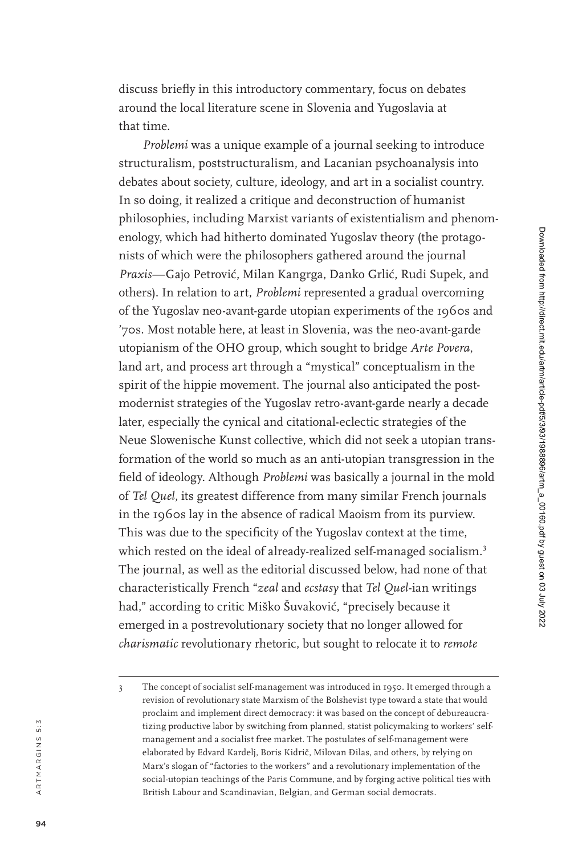discuss briefly in this introductory commentary, focus on debates around the local literature scene in Slovenia and Yugoslavia at that time.

*Problemi* was a unique example of a journal seeking to introduce structuralism, poststructuralism, and Lacanian psychoanalysis into debates about society, culture, ideology, and art in a socialist country. In so doing, it realized a critique and deconstruction of humanist philosophies, including Marxist variants of existentialism and phenom enology, which had hitherto dominated Yugoslav theory (the protago nists of which were the philosophers gathered around the journal Praxis—Gajo Petrović, Milan Kangrga, Danko Grlić, Rudi Supek, and others). In relation to art, *Problemi* represented a gradual overcoming of the Yugoslav neo-avant-garde utopian experiments of the 1960s and '70s. Most notable here, at least in Slovenia, was the neo-avant-garde utopianism of the OHO group, which sought to bridge *Arte Povera* , land art, and process art through a "mystical" conceptualism in the spirit of the hippie movement. The journal also anticipated the post modernist strategies of the Yugoslav retro-avant-garde nearly a decade later, especially the cynical and citational-eclectic strategies of the Neue Slowenische Kunst collective, which did not seek a utopian trans formation of the world so much as an anti-utopian transgression in the field of ideology. Although *Problemi* was basically a journal in the mold of *Tel Quel* , its greatest difference from many similar French journals in the 1960s lay in the absence of radical Maoism from its purview. This was due to the specificity of the Yugoslav context at the time, which rested on the ideal of already-realized self-managed socialism.<sup>3</sup> The journal, as well as the editorial discussed below, had none of that characteristically French "*zeal* and *ecstasy* that *Tel Quel*-ian writings had," according to critic Miško Šuvaković, "precisely because it emerged in a postrevolutionary society that no longer allowed for *charismatic* revolutionary rhetoric, but sought to relocate it to *remote*

a r t m a r g i n s 5 : 3

ARTMARGINS 5:3

<sup>3</sup> The concept of socialist self-management was introduced in 1950. It emerged through a revision of revolutionary state Marxism of the Bolshevist type toward a state that would proclaim and implement direct democracy: it was based on the concept of debureaucra tizing productive labor by switching from planned, statist policymaking to workers' selfmanagement and a socialist free market. The postulates of self-management were elaborated by Edvard Kardelj, Boris Kidrič, Milovan Đilas, and others, by relying on Marx's slogan of "factories to the workers" and a revolutionary implementation of the social-utopian teachings of the Paris Commune, and by forging active political ties with British Labour and Scandinavian, Belgian, and German social democrats.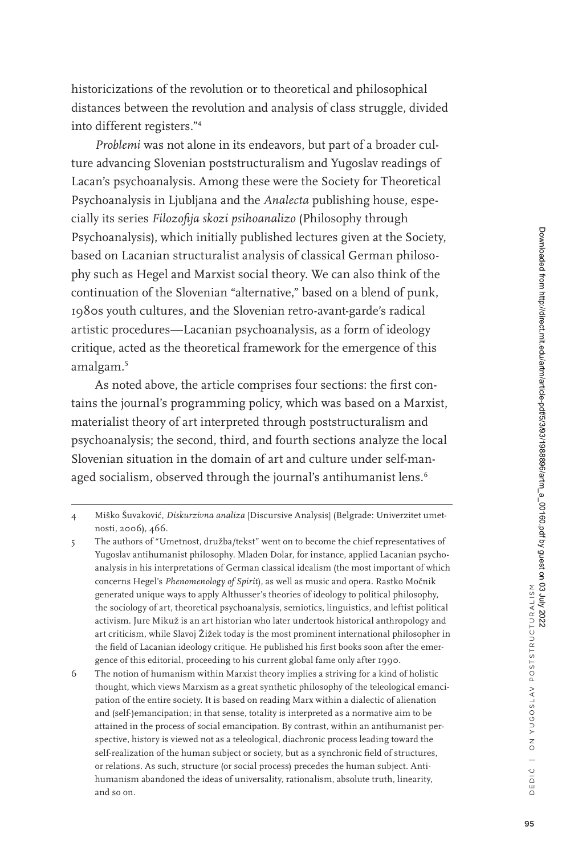historicizations of the revolution or to theoretical and philosophical distances between the revolution and analysis of class struggle, divided into different registers."<sup>4</sup>

*Problemi* was not alone in its endeavors, but part of a broader culture advancing Slovenian poststructuralism and Yugoslav readings of Lacan's psychoanalysis. Among these were the Society for Theoretical Psychoanalysis in Ljubljana and the *Analecta* publishing house, especially its series *Filozofija skozi psihoanalizo* (Philosophy through Psychoanalysis), which initially published lectures given at the Society, based on Lacanian structuralist analysis of classical German philosophy such as Hegel and Marxist social theory. We can also think of the continuation of the Slovenian "alternative," based on a blend of punk, 1980s youth cultures, and the Slovenian retro-avant-garde's radical artistic procedures—Lacanian psychoanalysis, as a form of ideology critique, acted as the theoretical framework for the emergence of this amalgam.<sup>5</sup>

As noted above, the article comprises four sections: the first contains the journal's programming policy, which was based on a Marxist, materialist theory of art interpreted through poststructuralism and psychoanalysis; the second, third, and fourth sections analyze the local Slovenian situation in the domain of art and culture under self-managed socialism, observed through the journal's antihumanist lens.<sup>6</sup>

D E D I ´C | O N Y U G O S L AV P O STSTR U C T U RA L ISM

<sup>4</sup> Miško Šuvakovi´c, *Diskurzivna analiza* [Discursive Analysis] (Belgrade: Univerzitet umetnosti, 2006), 466.

<sup>5</sup> The authors of "Umetnost, družba/tekst" went on to become the chief representatives of Yugoslav antihumanist philosophy. Mladen Dolar, for instance, applied Lacanian psychoanalysis in his interpretations of German classical idealism (the most important of which concerns Hegel's *Phenomenology of Spirit*), as well as music and opera. Rastko Močnik generated unique ways to apply Althusser's theories of ideology to political philosophy, the sociology of art, theoretical psychoanalysis, semiotics, linguistics, and leftist political activism. Jure Mikuž is an art historian who later undertook historical anthropology and art criticism, while Slavoj Žižek today is the most prominent international philosopher in the field of Lacanian ideology critique. He published his first books soon after the emergence of this editorial, proceeding to his current global fame only after 1990.

<sup>6</sup> The notion of humanism within Marxist theory implies a striving for a kind of holistic thought, which views Marxism as a great synthetic philosophy of the teleological emancipation of the entire society. It is based on reading Marx within a dialectic of alienation and (self-)emancipation; in that sense, totality is interpreted as a normative aim to be attained in the process of social emancipation. By contrast, within an antihumanist perspective, history is viewed not as a teleological, diachronic process leading toward the self-realization of the human subject or society, but as a synchronic field of structures, or relations. As such, structure (or social process) precedes the human subject. Antihumanism abandoned the ideas of universality, rationalism, absolute truth, linearity, and so on.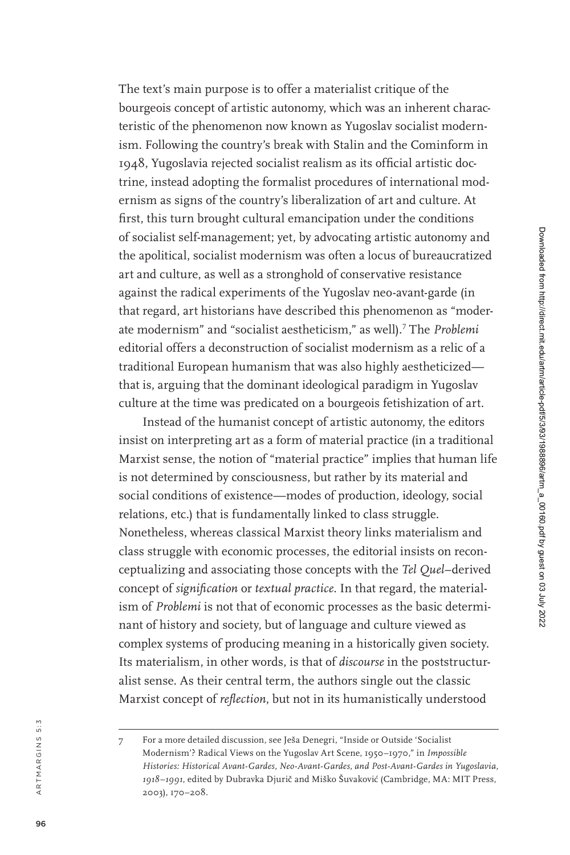The text's main purpose is to offer a materialist critique of the bourgeois concept of artistic autonomy, which was an inherent charac teristic of the phenomenon now known as Yugoslav socialist modern ism. Following the country's break with Stalin and the Cominform in 1948, Yugoslavia rejected socialist realism as its official artistic doc trine, instead adopting the formalist procedures of international mod ernism as signs of the country's liberalization of art and culture. At first, this turn brought cultural emancipation under the conditions of socialist self-management; yet, by advocating artistic autonomy and the apolitical, socialist modernism was often a locus of bureaucratized art and culture, as well as a stronghold of conservative resistance against the radical experiments of the Yugoslav neo-avant-garde (in that regard, art historians have described this phenomenon as "moder ate modernism" and "socialist aestheticism," as well). <sup>7</sup> The *Problemi* editorial offers a deconstruction of socialist modernism as a relic of a traditional European humanism that was also highly aestheticized that is, arguing that the dominant ideological paradigm in Yugoslav culture at the time was predicated on a bourgeois fetishization of art.

Instead of the humanist concept of artistic autonomy, the editors insist on interpreting art as a form of material practice (in a traditional Marxist sense, the notion of "material practice" implies that human life is not determined by consciousness, but rather by its material and social conditions of existence—modes of production, ideology, social relations, etc.) that is fundamentally linked to class struggle. Nonetheless, whereas classical Marxist theory links materialism and class struggle with economic processes, the editorial insists on recon ceptualizing and associating those concepts with the *Tel Quel*–derived concept of *signification* or *textual practice* . In that regard, the material ism of *Problemi* is not that of economic processes as the basic determi nant of history and society, but of language and culture viewed as complex systems of producing meaning in a historically given society. Its materialism, in other words, is that of *discourse* in the poststructur alist sense. As their central term, the authors single out the classic Marxist concept of *reflection* , but not in its humanistically understood

<sup>7</sup> For a more detailed discussion, see Ješa Denegri, "Inside or Outside 'Socialist Modernism'? Radical Views on the Yugoslav Art Scene, 1950–1970," in *Impossible Histories: Historical Avant-Gardes, Neo-Avant-Gardes, and Post-Avant-Gardes in Yugoslavia,*  1918–1991, edited by Dubravka Djurič and Miško Šuvaković (Cambridge, MA: MIT Press, 2003), 170–208.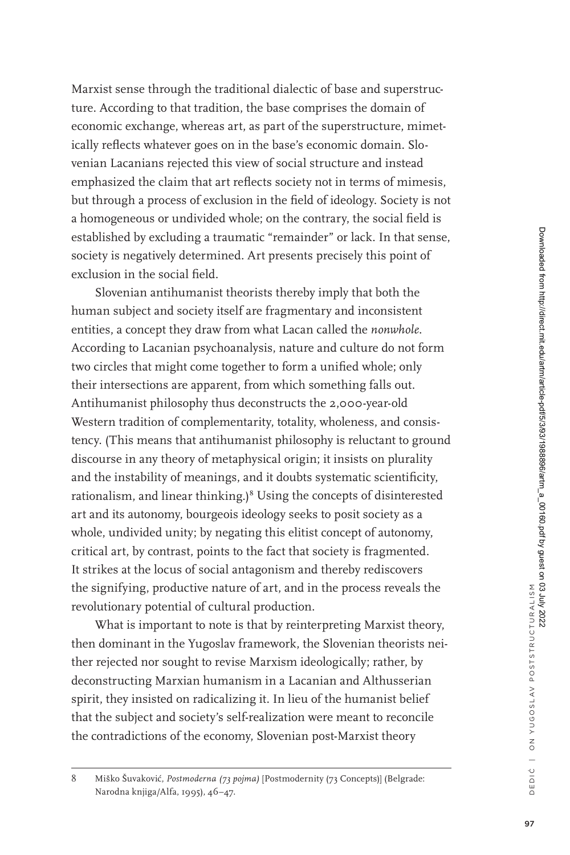Marxist sense through the traditional dialectic of base and superstructure. According to that tradition, the base comprises the domain of economic exchange, whereas art, as part of the superstructure, mimetically reflects whatever goes on in the base's economic domain. Slovenian Lacanians rejected this view of social structure and instead emphasized the claim that art reflects society not in terms of mimesis, but through a process of exclusion in the field of ideology. Society is not a homogeneous or undivided whole; on the contrary, the social field is established by excluding a traumatic "remainder" or lack. In that sense, society is negatively determined. Art presents precisely this point of exclusion in the social field.

Slovenian antihumanist theorists thereby imply that both the human subject and society itself are fragmentary and inconsistent entities, a concept they draw from what Lacan called the *nonwhole*. According to Lacanian psychoanalysis, nature and culture do not form two circles that might come together to form a unified whole; only their intersections are apparent, from which something falls out. Antihumanist philosophy thus deconstructs the 2,000-year-old Western tradition of complementarity, totality, wholeness, and consistency. (This means that antihumanist philosophy is reluctant to ground discourse in any theory of metaphysical origin; it insists on plurality and the instability of meanings, and it doubts systematic scientificity, rationalism, and linear thinking.)<sup>8</sup> Using the concepts of disinterested art and its autonomy, bourgeois ideology seeks to posit society as a whole, undivided unity; by negating this elitist concept of autonomy, critical art, by contrast, points to the fact that society is fragmented. It strikes at the locus of social antagonism and thereby rediscovers the signifying, productive nature of art, and in the process reveals the revolutionary potential of cultural production.

What is important to note is that by reinterpreting Marxist theory, then dominant in the Yugoslav framework, the Slovenian theorists neither rejected nor sought to revise Marxism ideologically; rather, by deconstructing Marxian humanism in a Lacanian and Althusserian spirit, they insisted on radicalizing it. In lieu of the humanist belief that the subject and society's self-realization were meant to reconcile the contradictions of the economy, Slovenian post-Marxist theory

<sup>8</sup> Miško Šuvaković, *Postmoderna (73 pojma)* [Postmodernity (73 Concepts)] (Belgrade: Narodna knjiga/Alfa, 1995), 46–47.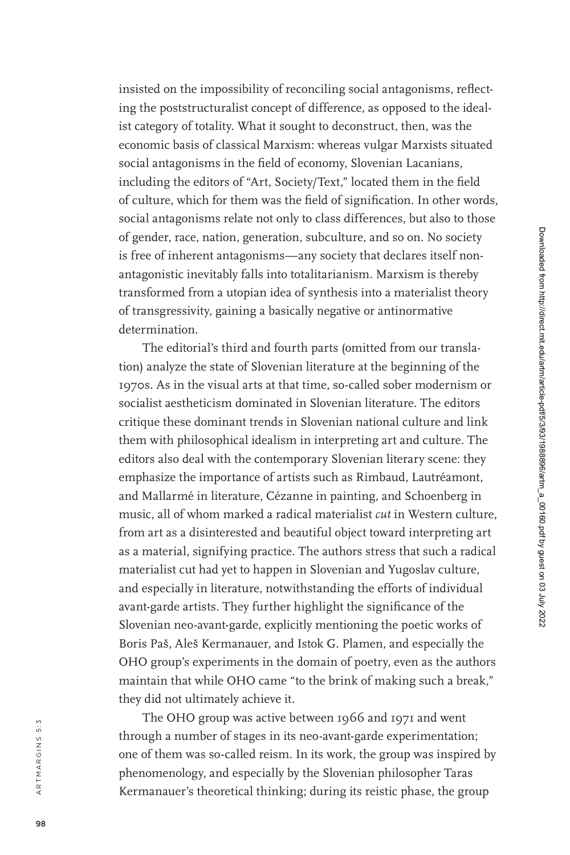insisted on the impossibility of reconciling social antagonisms, reflect ing the poststructuralist concept of difference, as opposed to the ideal ist category of totality. What it sought to deconstruct, then, was the economic basis of classical Marxism: whereas vulgar Marxists situated social antagonisms in the field of economy, Slovenian Lacanians, including the editors of "Art, Society/Text," located them in the field of culture, which for them was the field of signification. In other words, social antagonisms relate not only to class differences, but also to those of gender, race, nation, generation, subculture, and so on. No society is free of inherent antagonisms—any society that declares itself non antagonistic inevitably falls into totalitarianism. Marxism is thereby transformed from a utopian idea of synthesis into a materialist theory of transgressivity, gaining a basically negative or antinormative determination.

The editorial's third and fourth parts (omitted from our transla tion) analyze the state of Slovenian literature at the beginning of the 1970s. As in the visual arts at that time, so-called sober modernism or socialist aestheticism dominated in Slovenian literature. The editors critique these dominant trends in Slovenian national culture and link them with philosophical idealism in interpreting art and culture. The editors also deal with the contemporary Slovenian literary scene: they emphasize the importance of artists such as Rimbaud, Lautréamont, and Mallarmé in literature, Cézanne in painting, and Schoenberg in music, all of whom marked a radical materialist *cut* in Western culture, from art as a disinterested and beautiful object toward interpreting art as a material, signifying practice. The authors stress that such a radical materialist cut had yet to happen in Slovenian and Yugoslav culture, and especially in literature, notwithstanding the efforts of individual avant-garde artists. They further highlight the significance of the Slovenian neo-avant-garde, explicitly mentioning the poetic works of Boris Paš, Aleš Kermanauer, and Istok G. Plamen, and especially the OHO group's experiments in the domain of poetry, even as the authors maintain that while OHO came "to the brink of making such a break," they did not ultimately achieve it.

The OHO group was active between 1966 and 1971 and went through a number of stages in its neo-avant-garde experimentation; one of them was so-called reism. In its work, the group was inspired by phenomenology, and especially by the Slovenian philosopher Taras Kermanauer's theoretical thinking; during its reistic phase, the group

a r t m a r g i n s 5 : 3

ARTMARGINS 5:3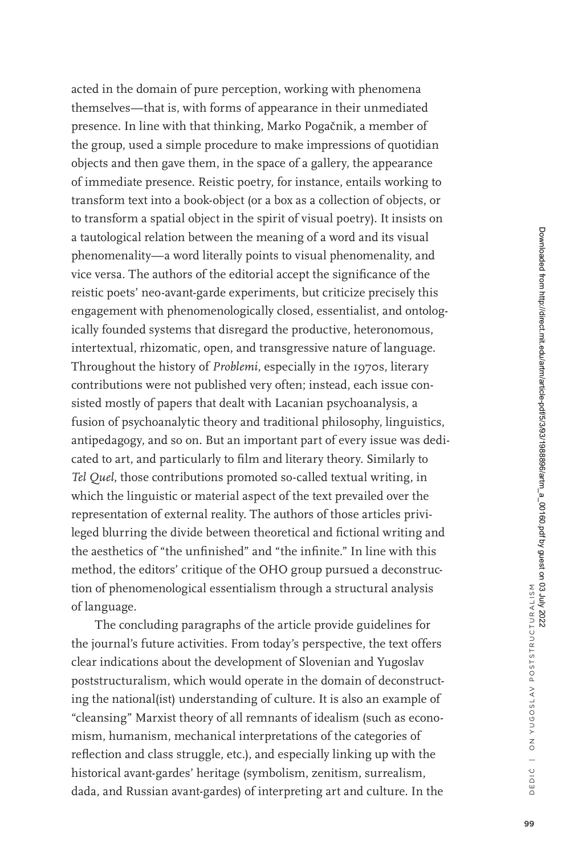acted in the domain of pure perception, working with phenomena themselves—that is, with forms of appearance in their unmediated presence. In line with that thinking, Marko Pogačnik, a member of the group, used a simple procedure to make impressions of quotidian objects and then gave them, in the space of a gallery, the appearance of immediate presence. Reistic poetry, for instance, entails working to transform text into a book-object (or a box as a collection of objects, or to transform a spatial object in the spirit of visual poetry). It insists on a tautological relation between the meaning of a word and its visual phenomenality—a word literally points to visual phenomenality, and vice versa. The authors of the editorial accept the significance of the reistic poets' neo-avant-garde experiments, but criticize precisely this engagement with phenomenologically closed, essentialist, and ontologically founded systems that disregard the productive, heteronomous, intertextual, rhizomatic, open, and transgressive nature of language. Throughout the history of *Problemi*, especially in the 1970s, literary contributions were not published very often; instead, each issue consisted mostly of papers that dealt with Lacanian psychoanalysis, a fusion of psychoanalytic theory and traditional philosophy, linguistics, antipedagogy, and so on. But an important part of every issue was dedicated to art, and particularly to film and literary theory. Similarly to *Tel Quel*, those contributions promoted so-called textual writing, in which the linguistic or material aspect of the text prevailed over the representation of external reality. The authors of those articles privileged blurring the divide between theoretical and fictional writing and the aesthetics of "the unfinished" and "the infinite." In line with this method, the editors' critique of the OHO group pursued a deconstruction of phenomenological essentialism through a structural analysis of language.

The concluding paragraphs of the article provide guidelines for the journal's future activities. From today's perspective, the text offers clear indications about the development of Slovenian and Yugoslav poststructuralism, which would operate in the domain of deconstructing the national(ist) understanding of culture. It is also an example of "cleansing" Marxist theory of all remnants of idealism (such as economism, humanism, mechanical interpretations of the categories of reflection and class struggle, etc.), and especially linking up with the historical avant-gardes' heritage (symbolism, zenitism, surrealism, dada, and Russian avant-gardes) of interpreting art and culture. In the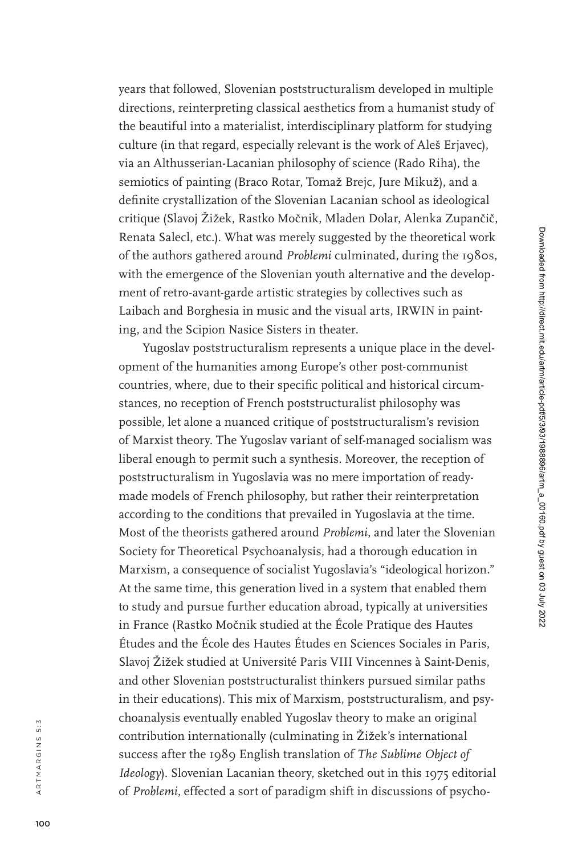years that followed, Slovenian poststructuralism developed in multiple directions, reinterpreting classical aesthetics from a humanist study of the beautiful into a materialist, interdisciplinary platform for studying culture (in that regard, especially relevant is the work of Aleš Erjavec), via an Althusserian-Lacanian philosophy of science (Rado Riha), the semiotics of painting (Braco Rotar, Tomaž Brejc, Jure Mikuž), and a definite crystallization of the Slovenian Lacanian school as ideological critique (Slavoj Žižek, Rastko Močnik, Mladen Dolar, Alenka Zupančič, Renata Salecl, etc.). What was merely suggested by the theoretical work of the authors gathered around *Problemi* culminated, during the 1980s, with the emergence of the Slovenian youth alternative and the develop ment of retro-avant-garde artistic strategies by collectives such as Laibach and Borghesia in music and the visual arts, IRWIN in paint ing, and the Scipion Nasice Sisters in theater.

Yugoslav poststructuralism represents a unique place in the devel opment of the humanities among Europe's other post-communist countries, where, due to their specific political and historical circum stances, no reception of French poststructuralist philosophy was possible, let alone a nuanced critique of poststructuralism's revision of Marxist theory. The Yugoslav variant of self-managed socialism was liberal enough to permit such a synthesis. Moreover, the reception of poststructuralism in Yugoslavia was no mere importation of readymade models of French philosophy, but rather their reinterpretation according to the conditions that prevailed in Yugoslavia at the time. Most of the theorists gathered around *Problemi* , and later the Slovenian Society for Theoretical Psychoanalysis, had a thorough education in Marxism, a consequence of socialist Yugoslavia's "ideological horizon." At the same time, this generation lived in a system that enabled them to study and pursue further education abroad, typically at universities in France (Rastko Močnik studied at the École Pratique des Hautes Études and the École des Hautes Études en Sciences Sociales in Paris, Slavoj Žižek studied at Université Paris VIII Vincennes à Saint-Denis, and other Slovenian poststructuralist thinkers pursued similar paths in their educations). This mix of Marxism, poststructuralism, and psy choanalysis eventually enabled Yugoslav theory to make an original contribution internationally (culminating in Žižek's international success after the 1989 English translation of *The Sublime Object of Ideology*). Slovenian Lacanian theory, sketched out in this 1975 editorial of *Problemi* , effected a sort of paradigm shift in discussions of psycho -